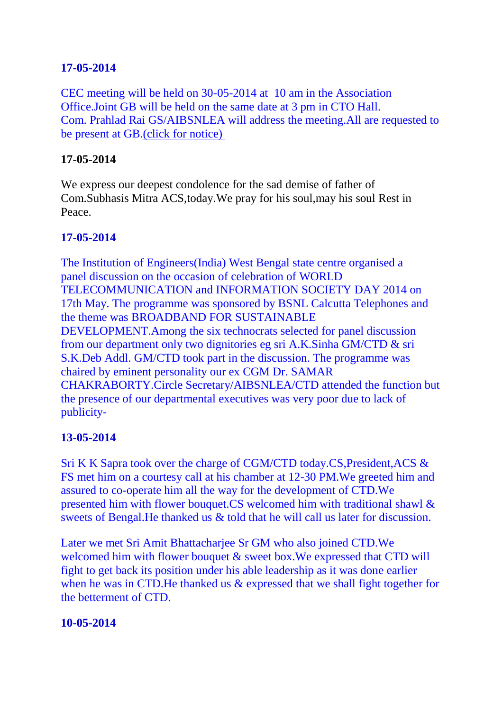## **17-05-2014**

CEC meeting will be held on 30-05-2014 at 10 am in the Association Office.Joint GB will be held on the same date at 3 pm in CTO Hall. Com. Prahlad Rai GS/AIBSNLEA will address the meeting.All are requested to be present at GB[.\(click for notice\)](http://aibsnleawb.org/notice30052014.docx)

### **17-05-2014**

We express our deepest condolence for the sad demise of father of Com.Subhasis Mitra ACS,today.We pray for his soul,may his soul Rest in Peace.

### **17-05-2014**

The Institution of Engineers(India) West Bengal state centre organised a panel discussion on the occasion of celebration of WORLD TELECOMMUNICATION and INFORMATION SOCIETY DAY 2014 on 17th May. The programme was sponsored by BSNL Calcutta Telephones and the theme was BROADBAND FOR SUSTAINABLE DEVELOPMENT.Among the six technocrats selected for panel discussion from our department only two dignitories eg sri A.K.Sinha GM/CTD & sri S.K.Deb Addl. GM/CTD took part in the discussion. The programme was chaired by eminent personality our ex CGM Dr. SAMAR CHAKRABORTY.Circle Secretary/AIBSNLEA/CTD attended the function but the presence of our departmental executives was very poor due to lack of publicity-

### **13-05-2014**

Sri K K Sapra took over the charge of CGM/CTD today.CS,President,ACS & FS met him on a courtesy call at his chamber at 12-30 PM.We greeted him and assured to co-operate him all the way for the development of CTD.We presented him with flower bouquet.CS welcomed him with traditional shawl & sweets of Bengal.He thanked us & told that he will call us later for discussion.

Later we met Sri Amit Bhattacharjee Sr GM who also joined CTD.We welcomed him with flower bouquet & sweet box. We expressed that CTD will fight to get back its position under his able leadership as it was done earlier when he was in CTD. He thanked us & expressed that we shall fight together for the betterment of CTD.

#### **10-05-2014**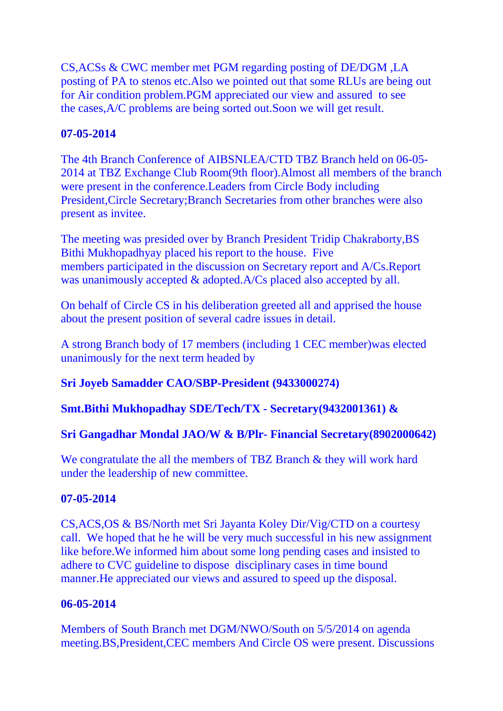CS,ACSs & CWC member met PGM regarding posting of DE/DGM ,LA posting of PA to stenos etc.Also we pointed out that some RLUs are being out for Air condition problem.PGM appreciated our view and assured to see the cases,A/C problems are being sorted out.Soon we will get result.

## **07-05-2014**

The 4th Branch Conference of AIBSNLEA/CTD TBZ Branch held on 06-05- 2014 at TBZ Exchange Club Room(9th floor).Almost all members of the branch were present in the conference.Leaders from Circle Body including President,Circle Secretary;Branch Secretaries from other branches were also present as invitee.

The meeting was presided over by Branch President Tridip Chakraborty,BS Bithi Mukhopadhyay placed his report to the house. Five members participated in the discussion on Secretary report and A/Cs.Report was unanimously accepted & adopted.A/Cs placed also accepted by all.

On behalf of Circle CS in his deliberation greeted all and apprised the house about the present position of several cadre issues in detail.

A strong Branch body of 17 members (including 1 CEC member)was elected unanimously for the next term headed by

# **Sri Joyeb Samadder CAO/SBP-President (9433000274)**

**Smt.Bithi Mukhopadhay SDE/Tech/TX - Secretary(9432001361) &**

# **Sri Gangadhar Mondal JAO/W & B/Plr- Financial Secretary(8902000642)**

We congratulate the all the members of TBZ Branch & they will work hard under the leadership of new committee.

# **07-05-2014**

CS,ACS,OS & BS/North met Sri Jayanta Koley Dir/Vig/CTD on a courtesy call. We hoped that he he will be very much successful in his new assignment like before.We informed him about some long pending cases and insisted to adhere to CVC guideline to dispose disciplinary cases in time bound manner.He appreciated our views and assured to speed up the disposal.

# **06-05-2014**

Members of South Branch met DGM/NWO/South on 5/5/2014 on agenda meeting.BS,President,CEC members And Circle OS were present. Discussions